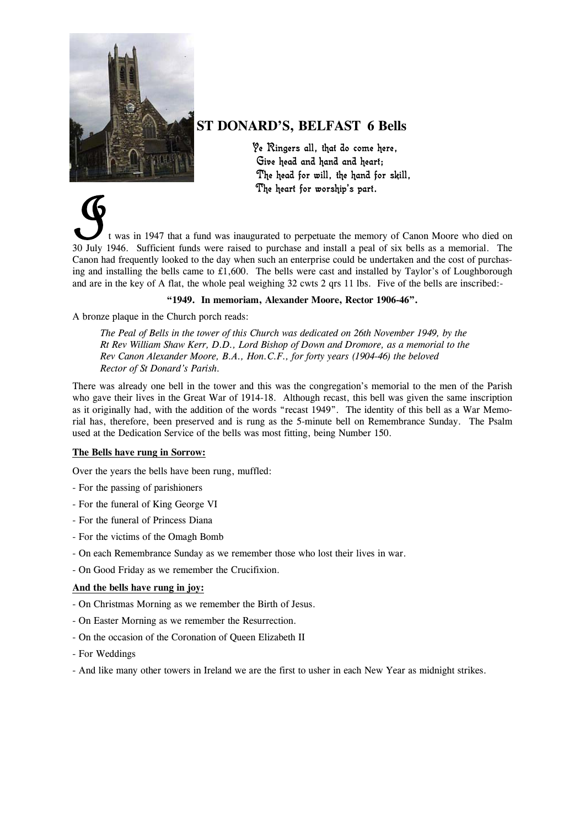

## **ST DONARD'S, BELFAST 6 Bells**

Ye Ringers all, that do come here, Give head and hand and heart; The head for will, the hand for skill, The heart for worship's part.

t was in 1947 that a fund was inaugurated to perpetuate the memory of Canon Moore who died on 30 July 1946. Sufficient funds were raised to purchase and install a peal of six bells as a memorial. The Canon had frequently looked to the day when such an enterprise could be undertaken and the cost of purchasing and installing the bells came to  $£1,600$ . The bells were cast and installed by Taylor's of Loughborough and are in the key of A flat, the whole peal weighing 32 cwts 2 qrs 11 lbs. Five of the bells are inscribed:-

## **"1949. In memoriam, Alexander Moore, Rector 1906-46".**

A bronze plaque in the Church porch reads:

*The Peal of Bells in the tower of this Church was dedicated on 26th November 1949, by the Rt Rev William Shaw Kerr, D.D., Lord Bishop of Down and Dromore, as a memorial to the Rev Canon Alexander Moore, B.A., Hon.C.F., for forty years (1904-46) the beloved Rector of St Donard's Parish.* 

There was already one bell in the tower and this was the congregation's memorial to the men of the Parish who gave their lives in the Great War of 1914-18. Although recast, this bell was given the same inscription as it originally had, with the addition of the words "recast 1949". The identity of this bell as a War Memorial has, therefore, been preserved and is rung as the 5-minute bell on Remembrance Sunday. The Psalm used at the Dedication Service of the bells was most fitting, being Number 150.

## **The Bells have rung in Sorrow:**

Over the years the bells have been rung, muffled:

- For the passing of parishioners
- For the funeral of King George VI
- For the funeral of Princess Diana
- For the victims of the Omagh Bomb
- On each Remembrance Sunday as we remember those who lost their lives in war.
- On Good Friday as we remember the Crucifixion.

## **And the bells have rung in joy:**

- On Christmas Morning as we remember the Birth of Jesus.
- On Easter Morning as we remember the Resurrection.
- On the occasion of the Coronation of Queen Elizabeth II
- For Weddings
- And like many other towers in Ireland we are the first to usher in each New Year as midnight strikes.